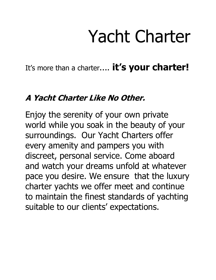## Yacht Charter

It's more than a charter.... **it's your charter!** 

### **A Yacht Charter Like No Other.**

Enjoy the serenity of your own private world while you soak in the beauty of your surroundings. Our Yacht Charters offer every amenity and pampers you with discreet, personal service. Come aboard and watch your dreams unfold at whatever pace you desire. We ensure that the luxury charter yachts we offer meet and continue to maintain the finest standards of yachting suitable to our clients' expectations.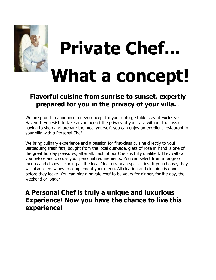

# **Private Chef... What a concept!**

#### **Flavorful cuisine from sunrise to sunset, expertly prepared for you in the privacy of your villa.** .

We are proud to announce a new concept for your unforgettable stay at Exclusive Haven. If you wish to take advantage of the privacy of your villa without the fuss of having to shop and prepare the meal yourself, you can enjoy an excellent restaurant in your villa with a Personal Chef.

We bring culinary experience and a passion for first-class cuisine directly to you! Barbequing fresh fish, bought from the local quayside, glass of rosé in hand is one of the great holiday pleasures, after all. Each of our Chefs is fully qualified. They will call you before and discuss your personal requirements. You can select from a range of menus and dishes including all the local Mediterranean specialities. If you choose, they will also select wines to complement your menu. All clearing and cleaning is done before they leave. You can hire a private chef to be yours for dinner, for the day, the weekend or longer.

#### **A Personal Chef is truly a unique and luxurious Experience! Now you have the chance to live this experience!**